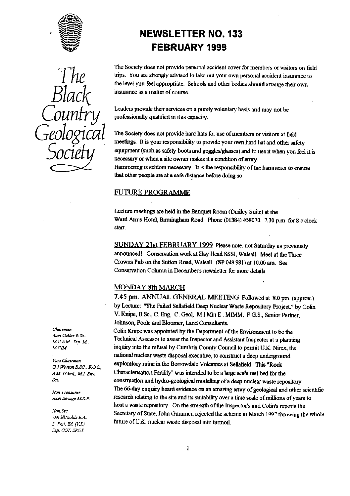



# NEWSLETTER **NO. 133** FEBRUARY 1999

The Society does not provide personal accident cover for members or visitors on field **The trips.** You are strongly advised to take out your own personal accident insurance to the level you feel appropriate. Schools and other bodies should arrange their own

Leaders provide their services on a purely voluntary basis and may not be professionally qualified in this capacity.

The Society does not provide hard hats for use of members or visitors at field meetings. It is your responsibility to provide your own hard hat and other safety equipment (such as safety boots and goggles/glasses) and to use it when you feel it is necessary or when a site owner **makes** it a condition of entry. Hammering is seldom necessary. It is the responsibility of the hammerer to ensure

that other people are at a safe distance before doing so.

#### **FUTURE PROGRAMME**

Lecture meetings are held in the Banquet Room (Dudley Suite) at the Ward Arms Hotel, Birmingham Road. Phone (01384) 458070. 7.30 p.m. for 8 o'clock start.

*SUNDAY* **21st FEBRUARY** 1999 Please note, not Saturday as previously announced! Conservation work at Hay Head SSSI, Walsall. Meet at the Three Crowns Pub on the Sutton Road, Walsall. (SP 049 981) at 10.00 am. See Conservation Column in December's newsletter for more details.

#### MONDAY 8th MARCH

7.45 pm. ANNUAL GENERAL MEETING Followed at 8.0 pm. (approx.) by Lecture: "The Failed Sellafield Deep Nuclear Waste Reposito**ry** Project." by **Cohn** V. Knipe, B.Sc., C. Eng, C. Geol, M I Min.E . MIMM, F.G.S., Senior Partner, Johnson, Poole and Bloomer, Land Consultants.

Colin Knipe was appointed by the Department of the Environment to be the *ELI.0A. D.p. M.. Inc. Inc... Technical Assessor to assist the Inspector and Assistant Inspector at a planning M.C.A.M. D.p. M.*<br>*M.C.IM* **inquiry into the refusal by Cumbria County Council to permit U.K. Nirex. the** inquiry into the refusal by Cumbria County Council to permit U.K. Nirex, the national nuclear waste disposal executive, to construct a deep underground **exploratory** mine in the Botrowdale Vokamcs at Sellafield. This "Rock AM *I Geol., M.I. Env.* Characterisation Facility" was intended to be a large scale test bed for the *gCL.* construction and hydro-geological modelling of a deep nuclear waste repository. Hon Treasurer **Holden Communist The 66-day enquiry heard evidence on an amazing array of geological and other scientific<br>
Hoan Savage M.S. F. research relating to the site and its suitability over a time scale of millions** host a waste repository On the strength of the Inspecto**r'**s and Colin's reports the Secretary of State, John Gummer, rejected the scheme in March 1997 throwing the whole *3. Phil. Ed. (Y.L.)* **...** future of U.K.. nuclear waste disposal into turmoil.

r '*.ran curler g. x\_.*

Vice Chairman *U.J.Worton B.SC., F.O.S.* 

Hon Sec. *. tea Nitholds f^4,* Dip. COT. SRCT.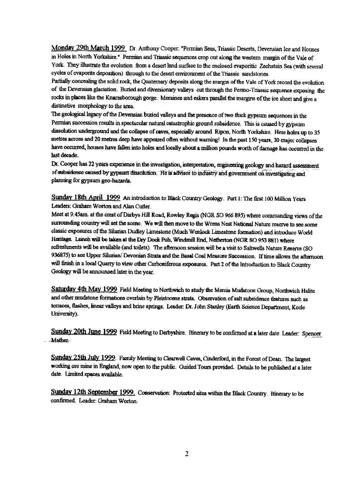**Monday 29th March 1999** Dr. Anthony Cooper: "Permian Seas, Triassic Deserts, Devensian Ice and Houses in Holes in North Yorkshire." Permian and Triassic sequences crop out along the western margin of the Vale of York. They illustrate the evolution from a desert land surface to the enclosed evaporitic Zechstein Sea (with several cycles of evaporite deposition) through to the desert environment of the Triassic sandstones.

Partially concealing the solid rock, the Quaternary deposits along the margin of the Vale of York record the evolution of the Devensian glaciation. Buried and diversionary valleys cut through the Permo-Triassic sequence exposing the rocks in places like the Knaresborough gorge. Moraines and eskers parallel the margins of the ice sheet and give a distinctive morphology to the area.

The geological legacy of the Devensian buried valleys and the presence of two thick gypsum sequences in the Permian succession results in spectacular natural catastrophic ground subsidence. This is caused by gypsum dissolution underground and *the* collapse of caves, especially around Ripon, North Yorkshire. Here holes up to 35 metres across and 20 metres deep have appeared often without warning! In the past 150 years, 30 major collapses have occurred, houses have fallen into holes and locally about a million pounds worth of damage has occurred in the last decade.

Dr. Cooper has 22 years experience in the investigation, interpretation, engineering geology and hazard assessment of subsidence caused by gypsum dissolution. He is advisor to industry and government on investigating and planning for gypsum geo-hazards.

Sunday 18th April 1999 An introduction to Black Country Geology. Part 1: The first 100 Million Years Leaders: Graham Worton and Alan Cutler.

Meet at 9.45am. at the crest of Darbys Hill Road, *Rowley Regis* (NGR SO 966 895) where commanding views of the surrounding country will set the scene\_ We will then move to *the Wrens* Nest National Nature reserve to see some classic exposures of the Silurian Dudley Limestone (Much Wenlock Limestone formation) and introduce World Heritage. Lunch will be taken at the Dry Dock Pub, Windmill End, Netherton (NGR SO 953 881) where refreshments will be available (and toilets). The afternoon session will be a visit to Saltwells Nature Reserve (SO 936875) to see Upper Silurian/ Devonian Strata and the Basal Coal Measure Succession. If time allows the afternoon will finish in a local Quarry to view other Carboniferous exposures. Part 2 of the introduction to Black Country Geology will be announced later in the year.

**Saturday 4th** May 1999 Field Meeting to Northwich to study the Mercia Mudstone Group, Northwich Halite and other mudstone formations overlain by Pleistocene strata. Observation of salt subsidence features such as terraces, flashes, linear valleys and brine springs. Leader: Dr. John Stanley (Earth Science Department, Keele University).

Sunday 20th June 1999 Field Meeting to Derbyshire. Itinerary to be confirmed at a later date Leader: Spencer **--**-**Mather-**

Sunday 25th July 1999. Family Meeting to Clearwell Caves, Cinderford, in the Forest of Dean. The largest working ore mine in England, now open to the public. Guided Tours provided. Details to be published at a later date. Limited spaces available.

**Sunday 12th September 1999.** Conservation: Protected sites within the Black Country. Itinerary to be confirmed. Leader: Graham Worton.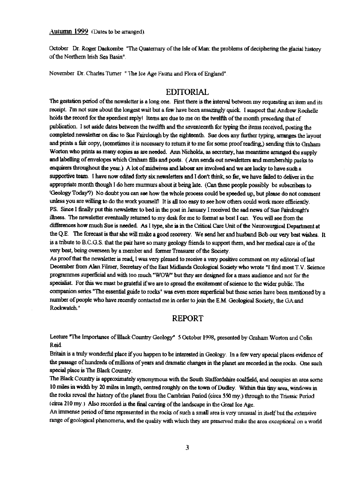*Autumn 1999* (Dates to be arranged).

October Dr. Roger Dackombe "The Quaternary of the Isle of Man: the problems of deciphering the glacial history of the Northern Irish Sea Basin".

November Dr. Charles Turner " The Ice Age Fauna and Flora of England"

### EDITORIAL

The gestation period of the newsletter is a long one. First there is the interval between my requesting an item and its receipt. I'm not sure about the longest wait but a few have *been* amazingly quick. I suspect that Andrew Rochelle holds the record for the speediest reply! Items are due to me on the twelfth of the month preceding that of publication. I set aside dates between the *twelfth and* **the** seventeenth for typing the items received, posting the completed newsletter on disc to Sue Fairclough by the eighteenth. Sue does any further typing, arranges the layout and prints a fair copy, (sometimes it is necessary to return it to me for some proofreading,) sending this to Graham Worton who prints as many copies as are needed. Ann Nicholds, as secretary, has meantime arranged the supply and labelling of envelopes which Graham fills and posts, ( Ann sends out newsletters and membership packs to enquirers throughout the year.) A lot of midwives and labour are involved and we are lucky to have such a supportive team. I have now edited forty six newsletters and I don't think, so far, we have failed to deliver in the appropriate month though I do here murmurs about it being late. (Can these people possibly be subscribers to 'Geology Today'?) No doubt you can see how the whole process could be speeded up, but please do not comment unless you are willing to do the work yourself! It is all too easy to see how others could work more efficiently. PS. Since I finally put this newsletter to bed in the post in January I received the sad news of Sue Fairciough's illness. The newsletter eventually returned to my desk for me to format as best I can. You will see from the differences how much Sue is needed. As I type, she is in the Critical Care Unit of the Neurosurgical Department at the Q.E. The forecast is that she will make a good recovery. We send her and husband Bob our very best wishes. It is a tribute to B.C.G. S. that the pair have so many geology friends to support them, and her medical care is of the very best, being overseen by a member and former Treasurer of the Society.

As proof that the newsletter is read, I was very pleased to receive a very positive comment on my editorial of last December from Alan Filmer, Secretary of the East Midlands Geological Society who wrote "I find most T.V. Science programmes superficial and with too much "WOW" but they are designed for a mass audience and not for the specialist. For this we must be grateful if we are to spread the excitement of science to the wider public. The companion series "The essential guide to rocks" was even more superficial but these series have been mentioned by a number of people who have recently contacted me in order to join the E.M. Geological Society, the GA and Rockwatch\_"

## **REPORT**

Lecture "The Importance of Black Country Geology" 5 October 1998, presented by Graham Worton and Colin Reid.

Britain is a truly wonderful place if you happen to be interested in Geology. In a few very special places evidence of *the* passage of hundreds of millions of years and dramatic changes in the planet are recorded in the rocks. One such special place is The Black Country.

The Black *Country* is approximately synonymous with the South Staffordshire coalfield, and occupies an area some 10 miles in width by 20 miles in length, centred *roughly on the* town of Dudley. Within this tiny area, windows in the rocks reveal the history of the planet from the Cambrian Period (circa 550 my.) through to the Triassic Period (circa 210 my.) Also recorded is the final carving of the landscape in the Great Ice Age.

An immense period of time represented in the rocks of such a small area is very unusual in itself but the extensive range of geological phenomena, and the quality with which they are preserved make the area exceptional on a world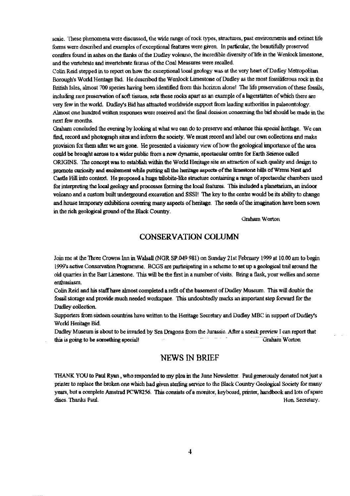scale. These phenomena were discussed, the wide range of rock types, structures, past environments and extinct life fortes were described and examples of exceptional *features* were given. In particular, the beautifully preserved conifers found in ashes on the flanks of the Dudley volcano, the incredible diversity of life in the Wenlock limestone, and the vertebrate and invertebrate faunas of the Coal Measures were recalled.

Colin Reid stepped in to report on how the exceptional local geology was at the very heart of Dudley Metropolitan Borough's World Heritage Bid. He described the Wenlock Limestone of Dudley as the most fossiliferous rock in the British Isles, almost 700 species having been identified from this horizon alone! The fife preservation of these fossils, including rare preservation of soft tissues, sets these rocks apart as an example of a lagerstätten of which there are very few in the world. Dudley's Bid has attracted worldwide support from leading authorities in palaeontology. Almost one hundred written responses were received and the final decision concerning the bid should be made in the next few months.

Graham concluded the evening by looking at what we can do to preserve and enhance this special heritage. We can find, record and photograph sites and inform the society. We must record and label our own collections and make provision for them after we are gone. He presented a visionary view of how the geological importance of the area could be brought across to a wider public from a new dynamic, spectacular centre for Earth Science called ORIGINS. *The* concept was to establish within the World Heritage site an attraction of such quality and design to promote curiosity and excitement while putting all the heritage aspects-of the limestone hills of Wrens Nest and Castle Hill into context. He proposed a huge trilobite-like structure containing a range of spectacular chambers used for interpreting *the local geology* **and processes forming the** local features. This included a planetarium, an indoor volcano and a custom built underground excavation and SSSI! The key to the centre would be its ability to change and house temporary exhibitions covering many aspects of heritage. The seeds of the imagination have been sown in the rich geological ground of the Black Country.

Graham Worton

# **CONSERVATION COLUMN**

Join me at the 'Twee Crowns Inn in Walsall **(NGR SP.049** 981) on Sunday 21st February 1999 at 10.00 am to begin 1999's active Conservation Programme. BCGS are participating in a scheme to set up a geological trail around the old quarries in the Barr Limestone. This will be the first in a number of visits. Bring a flask, your wellies and some enthusiasm\_

Colin Reid and his staff have almost completed a refit of the basement of Dudley Museum. This will double the fossil storage and provide much needed workspace. This undoubtedly marks an important step forward for the Dudley collection.

Supporters from sixteen countries have written to the Heritage Secretary and Dudley MBC in support of Dudley's World Heritage Bid.

Dudley Museum is about to be invaded by Sea Dragons from the Jurassic. After a sneak preview I can report that this is going to be something special! This is going to be something special!

#### NEWS IN BRIEF

THANK YOU to Paul Ryan, who responded to my plea in the June Newsletter. Paul generously donated not just a printer to replace the broken one which had given sterling service to the Black Country Geological Society for many years, but a complete Amstrad PCW8256. This consists of a monitor, keyboard, printer, handbook and lots of spare discs. Thanks Paul. **Bon. Secretary.** Bon. Secretary.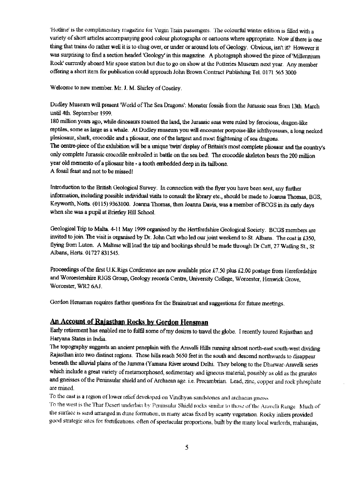'Hotline is the complimentary magazine for Virgin Tram passengers. The colourful winter edition is filled with a variety of short articles accompanying good colour photographs or cartoons where appropriate. Now if there is one thing that trains do rather well it is to chug over, or under or around lots of Geology. Obvious, isn't it? However it was surprising to find a section headed'Geology' in this magazine. A photograph showed the piece of 'Millennium Rock' currently aboard Mir space station but due to go on show at the Potteries Museum next year. Any member offering a short item for publication could approach John Brown Contract Publishing Tel. *0171 565 3000*

Welcome to new member. Mr. J. M. Shirley of Coseley.

Dudley Museum will present *World* of *The Sea* Dragons': Monster fossils from the Jurassic seas front 13th. March until 4th. September 1999.

180 million years ago, while dinosaurs roamed the land, the Jurassic seas were ruled by ferocious, dragon-like reptiles, some as large as a whale. At Dudley museum you will encounter porpoise-like ichthyosaurs, a long necked plesiosaur, shark, crocodile and a pliosaur, one of the largest and most frightening of sea dragons. The centre-piece of the exhibition will be a unique 'twin' display of Britain's most complete pliosaur and the country's only complete Jurassic crocodile embroiled in battle on the sea bed\_ The crocodile skeleton bears the **200 million year old memento** of a pliosaur bite - a tooth embedded deep in its tailbone. A fossil feast and not to be missed!

Introduction to the British Geological Survey. In connection with the flyer you have been sent, any further information, including possible individual visits to consult the library etc., should be made to Joanna Thomas, BGS, Keyworth, Notts. (0115) 9363100. Joanna Thomas, then Joanna Davis, was *a* member of BCGS in its early days when she was a pupil at Brierley Hill School.

Geological Trip to Malta. 4-11 May 1999 organised by the Hertfordshire Geological *Society, BCGS* members are invited to join. The visit is organised *by Dr.* John Catt who led our joint weekend to St. Albans. The cost is £350, flying from Luton. A Maltese will lead the trip and bookings should be made through Dr Cart, 27 Watling St., St Albans, Herts. 01727 831545.

Proceedings of the first U.K.Rigs Conference are now available price £7.50 *plus* £2.00 postage from Herefordshire and Worcestershire RIGS Group, Geology records Centre, University College, Worcester, Henwick Grove, Worcester, WR2 6AJ.

Gordon Hensman requires further questions for the Brainstrust and suggestions for future meetings.

# **An Account of Rajasthan Rocks by Gordon Hem**

Early retirement has enabled me to fulfil some of my desires to travel the globe. I recently toured Rajasthan and Haryana States in India.

The topography suggests an ancient peneplain with the Aravalli Hills running almost north-east south-west dividing Rajasthan into two distinct regions. These hills reach 5650 feet in the south and descend northwards to disappear beneath the alluvial plains of the Jumma (Yamana River around Delhi. They belong to the Dharwar-Aravelli series which include a great variety of metamorphosed, sedimentary and igneous material, possibly as old as the granites and gneisses of the Peninsular shield and of Archaean age. i.e. Precambrian. Lead, zinc, copper and rock phosphate are mined.

To the east is a region of lower relief developed on Vindhyan sandstones and archaean gnerss

To the west is the Thar Desert underlain by Peninsular Shield rocks similar to those of the Aravelli Range. Much of the surface is sand arranged in dune formation. in many areas fixed by scanty vegetation. Rocky inliers provided good strategic sites for fortifications. often of spectacular proportions, built by the many local warlords, maharajas,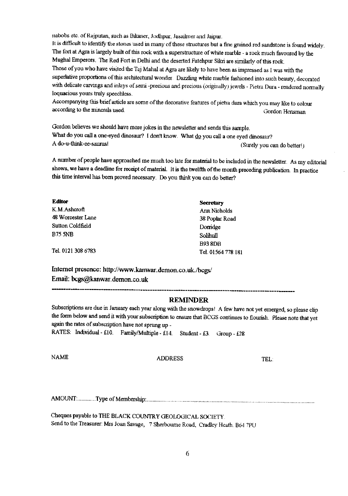nabobs etc. of Rajputan, such as Bikaner, Jodhpur, Jasailmer and Jaipur.

It is difficult to identify the stones used in many of these structures but a fine grained red sandstone is found widely. The fort at Agra is largely built of this rock with a superstructure of white marble - a rock much favoured by the Mughal Emperors. The Red Fort in Delhi and the deserted Fatehpur Sikri are similarly of this rock. Those of you who have visited the Taj Mahal at Agra are likely to have been as impressed as I was with the superlative proportions of this architectural wonder. Dazzling white marble fashioned into such beauty, decorated with delicate carvings and inlays of semi -precious and precious (originally) jewels - Pietra Dura - rendered normally loquacious yours truly speechless.

Accompanying this brief article are some of the decorative features of pietra dura which you may like to colour according to the minerals used. Gordon Hensman

Gordon believes we should have more jokes in the newsletter and sends this sample. What do you call a one-eyed dinosaur? I don't know. What  $\frac{dQ}{dQ}$  you call a one eyed dinosaur?<br>A do-u-think-ee-saurus! (Surely you can do better!)

A number of people have approached me much too late for material to be included in the newsletter. As my editorial shows, we have a deadline for receipt of material. It is the twelfth of the month preceding publication. In practice this time interval has been proved necessary. Do you think you can do better?

| <b>Editor</b>     | <b>Secretary</b>   |
|-------------------|--------------------|
| K.M.Ashcroft      | Ann Nicholds       |
| 48 Worcester Lane | 38 Poplar Road     |
| Sutton Coldfield  | Domidge            |
| <b>B75 5NB</b>    | Solihull           |
|                   | <b>B938DB</b>      |
| Tel 0121 308 6783 | Tel. 01564 778 18) |
|                   |                    |

**Internet presence: http:**[/](http://www.kanwar.demon.co.uk.lbcgs/)**[/www.kanwar.demon.co.uk.lbcgs/](http://www.kanwar.demon.co.uk.lbcgs/)** Email: bcgs@kanwar.demon.co.uk

#### **REMINDER**

Subscriptions are due in January each year along with the snowdrops! A few have not yet emerged, so please clip the form below and send it with your subscription to ensure that BCGS continues to flourish. Please note that yet again the rates of subscription have not sprung up -

RATES: Individual - £10. Family/Multiple - £14. Student - £3. Group - £28

NAME ADDRESS TEL:

AMOUNT: .............Type of Membersliip:..,.....................................................................................................................

Cheques payable to THE BLACK COUNTRY GEOLOGICAL SOCIETY Send to the Treasurer: Mrs Joan Savage, 7 Sherbourne Road, Cradley Heath. B64 7PU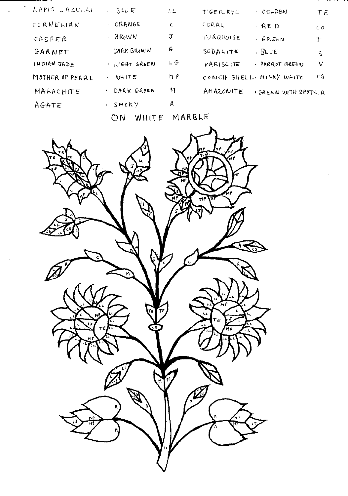